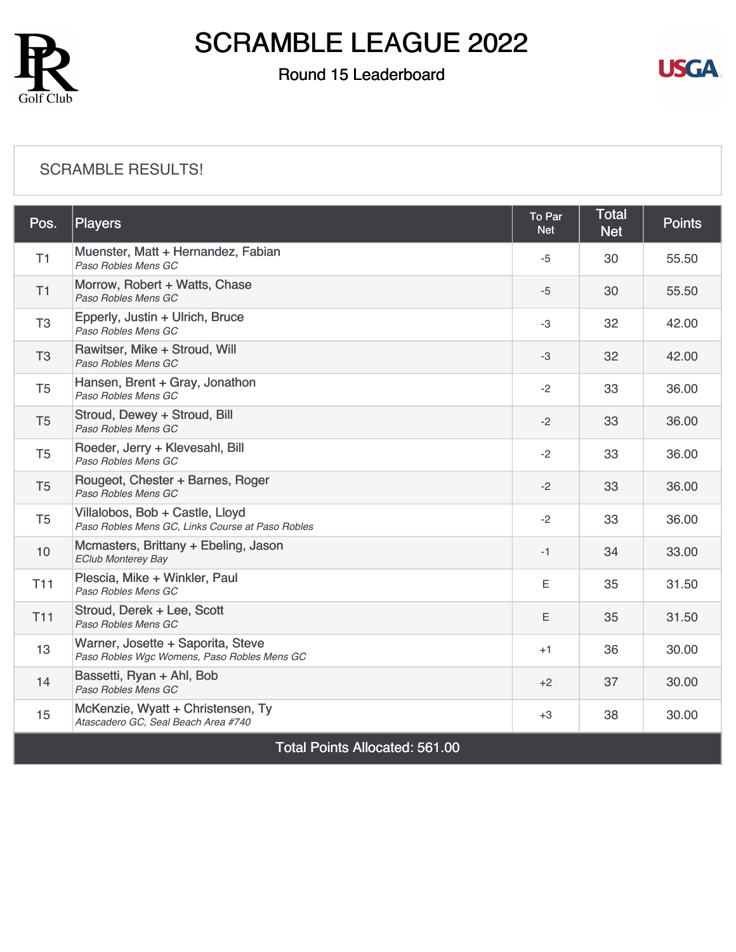

### Round 15 Leaderboard



#### [SCRAMBLE RESULTS!](https://static.golfgenius.com/v2tournaments/8549997992076164874?called_from=&round_index=15)

| Pos.                                  | <b>Players</b>                                                                      | To Par<br><b>Net</b> | <b>Total</b><br><b>Net</b> | <b>Points</b> |  |  |
|---------------------------------------|-------------------------------------------------------------------------------------|----------------------|----------------------------|---------------|--|--|
| T1                                    | Muenster, Matt + Hernandez, Fabian<br>Paso Robles Mens GC                           | -5                   | 30                         | 55.50         |  |  |
| T1                                    | Morrow, Robert + Watts, Chase<br>Paso Robles Mens GC                                | $-5$                 | 30                         | 55.50         |  |  |
| T <sub>3</sub>                        | Epperly, Justin + Ulrich, Bruce<br>Paso Robles Mens GC                              | $-3$                 | 32                         | 42.00         |  |  |
| T <sub>3</sub>                        | Rawitser, Mike + Stroud, Will<br>Paso Robles Mens GC                                | -3                   | 32                         | 42.00         |  |  |
| T <sub>5</sub>                        | Hansen, Brent + Gray, Jonathon<br>Paso Robles Mens GC                               | $-2$                 | 33                         | 36.00         |  |  |
| T <sub>5</sub>                        | Stroud, Dewey + Stroud, Bill<br>Paso Robles Mens GC                                 | $-2$                 | 33                         | 36.00         |  |  |
| T <sub>5</sub>                        | Roeder, Jerry + Klevesahl, Bill<br>Paso Robles Mens GC                              | $-2$                 | 33                         | 36.00         |  |  |
| T <sub>5</sub>                        | Rougeot, Chester + Barnes, Roger<br>Paso Robles Mens GC                             | $-2$                 | 33                         | 36.00         |  |  |
| T <sub>5</sub>                        | Villalobos, Bob + Castle, Lloyd<br>Paso Robles Mens GC, Links Course at Paso Robles | $-2$                 | 33                         | 36.00         |  |  |
| 10                                    | Mcmasters, Brittany + Ebeling, Jason<br><b>EClub Monterey Bay</b>                   | $-1$                 | 34                         | 33.00         |  |  |
| <b>T11</b>                            | Plescia, Mike + Winkler, Paul<br>Paso Robles Mens GC                                | E                    | 35                         | 31.50         |  |  |
| <b>T11</b>                            | Stroud, Derek + Lee, Scott<br>Paso Robles Mens GC                                   | E                    | 35                         | 31.50         |  |  |
| 13                                    | Warner, Josette + Saporita, Steve<br>Paso Robles Wgc Womens, Paso Robles Mens GC    | $+1$                 | 36                         | 30.00         |  |  |
| 14                                    | Bassetti, Ryan + Ahl, Bob<br>Paso Robles Mens GC                                    | $+2$                 | 37                         | 30.00         |  |  |
| 15                                    | McKenzie, Wyatt + Christensen, Ty<br>Atascadero GC, Seal Beach Area #740            | $+3$                 | 38                         | 30.00         |  |  |
| <b>Total Points Allocated: 561.00</b> |                                                                                     |                      |                            |               |  |  |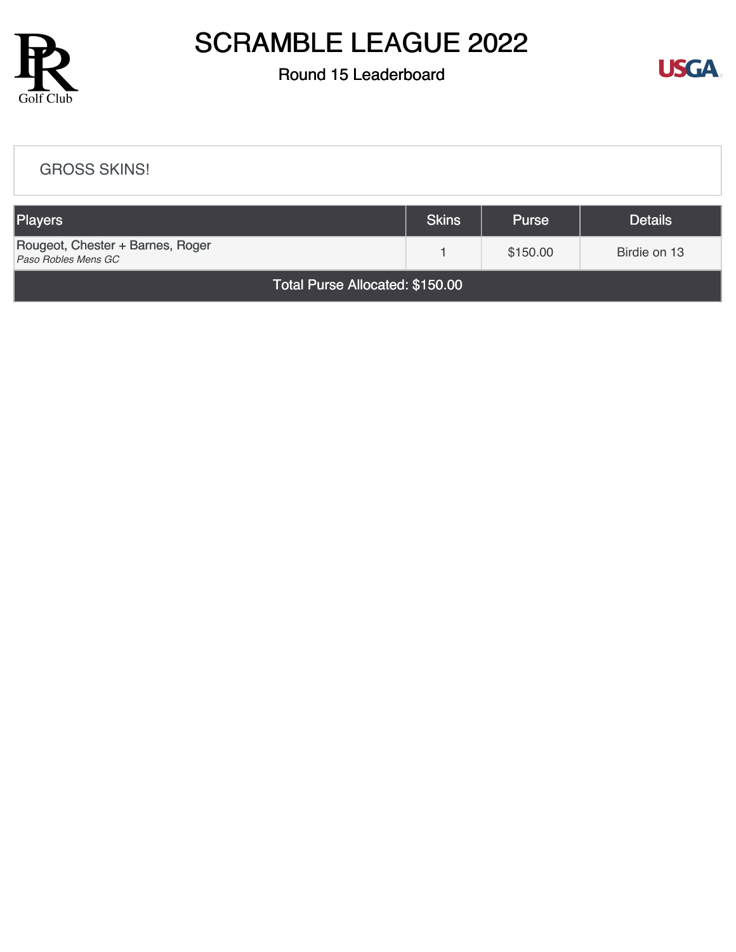

### Round 15 Leaderboard



#### [GROSS SKINS!](https://static.golfgenius.com/v2tournaments/8549999186278399755?called_from=&round_index=15)

| <b>Players</b>                                          | <b>Skins</b> | <b>Purse</b> | <b>Details</b> |  |  |  |
|---------------------------------------------------------|--------------|--------------|----------------|--|--|--|
| Rougeot, Chester + Barnes, Roger<br>Paso Robles Mens GC |              | \$150.00     | Birdie on 13   |  |  |  |
| Total Purse Allocated: \$150.00                         |              |              |                |  |  |  |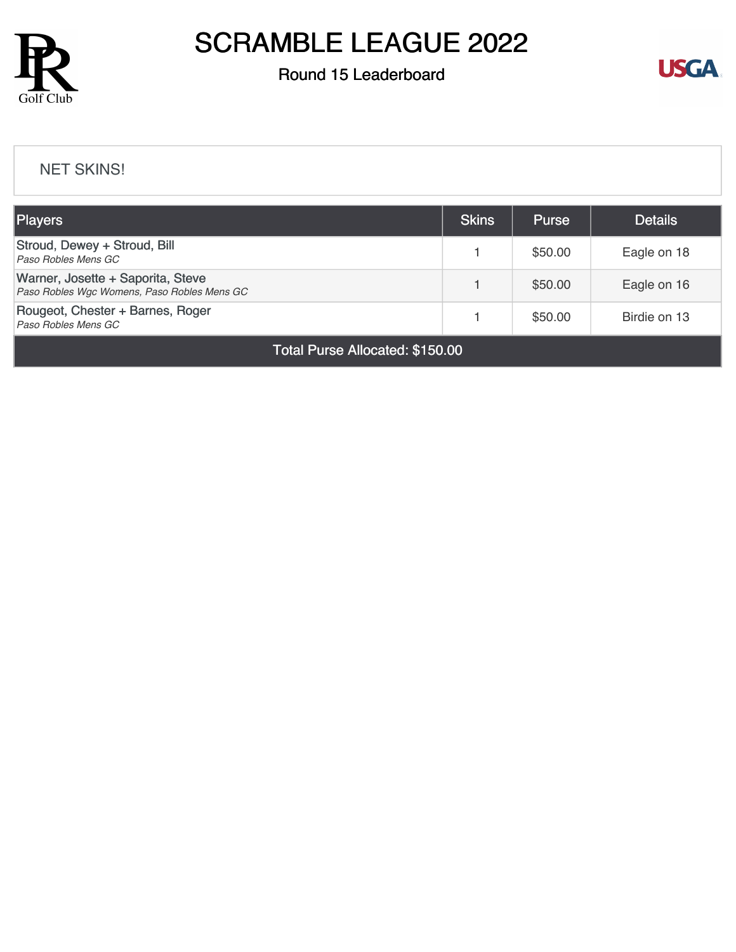

### Round 15 Leaderboard



#### [NET SKINS!](https://static.golfgenius.com/v2tournaments/8550000066847358732?called_from=&round_index=15)

| <b>Players</b>                                                                   |  | <b>Purse</b> | <b>Details</b> |  |
|----------------------------------------------------------------------------------|--|--------------|----------------|--|
| Stroud, Dewey + Stroud, Bill<br>Paso Robles Mens GC                              |  | \$50.00      | Eagle on 18    |  |
| Warner, Josette + Saporita, Steve<br>Paso Robles Wgc Womens, Paso Robles Mens GC |  | \$50.00      | Eagle on 16    |  |
| Rougeot, Chester + Barnes, Roger<br>Paso Robles Mens GC                          |  | \$50.00      | Birdie on 13   |  |
| Total Purse Allocated: \$150.00                                                  |  |              |                |  |